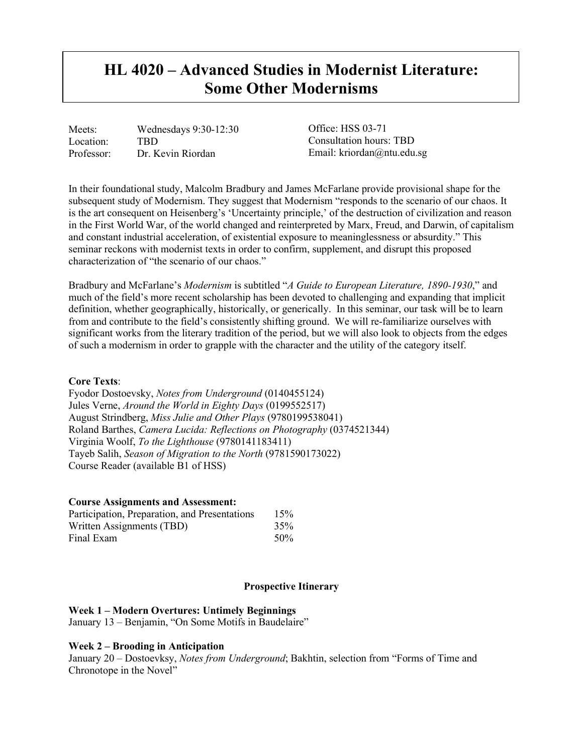# **HL 4020 – Advanced Studies in Modernist Literature: Some Other Modernisms**

Meets: Wednesdays 9:30-12:30 Location: TBD<br>Professor: Dr. K Dr. Kevin Riordan

Office: HSS 03-71 Consultation hours: TBD Email: kriordan@ntu.edu.sg

In their foundational study, Malcolm Bradbury and James McFarlane provide provisional shape for the subsequent study of Modernism. They suggest that Modernism "responds to the scenario of our chaos. It is the art consequent on Heisenberg's 'Uncertainty principle,' of the destruction of civilization and reason in the First World War, of the world changed and reinterpreted by Marx, Freud, and Darwin, of capitalism and constant industrial acceleration, of existential exposure to meaninglessness or absurdity." This seminar reckons with modernist texts in order to confirm, supplement, and disrupt this proposed characterization of "the scenario of our chaos."

Bradbury and McFarlane's *Modernism* is subtitled "*A Guide to European Literature, 1890-1930*," and much of the field's more recent scholarship has been devoted to challenging and expanding that implicit definition, whether geographically, historically, or generically. In this seminar, our task will be to learn from and contribute to the field's consistently shifting ground. We will re-familiarize ourselves with significant works from the literary tradition of the period, but we will also look to objects from the edges of such a modernism in order to grapple with the character and the utility of the category itself.

# **Core Texts**:

Fyodor Dostoevsky, *Notes from Underground* (0140455124) Jules Verne, *Around the World in Eighty Days* (0199552517) August Strindberg, *Miss Julie and Other Plays* (9780199538041) Roland Barthes, *Camera Lucida: Reflections on Photography* (0374521344) Virginia Woolf, *To the Lighthouse* (9780141183411) Tayeb Salih, *Season of Migration to the North* (9781590173022) Course Reader (available B1 of HSS)

#### **Course Assignments and Assessment:**

| Participation, Preparation, and Presentations<br>Written Assignments (TBD)<br>Final Exam | 15%<br>35%<br>50% |
|------------------------------------------------------------------------------------------|-------------------|
|------------------------------------------------------------------------------------------|-------------------|

#### **Prospective Itinerary**

#### **Week 1 – Modern Overtures: Untimely Beginnings**

January 13 – Benjamin, "On Some Motifs in Baudelaire"

#### **Week 2 – Brooding in Anticipation**

January 20 – Dostoevksy, *Notes from Underground*; Bakhtin, selection from "Forms of Time and Chronotope in the Novel"